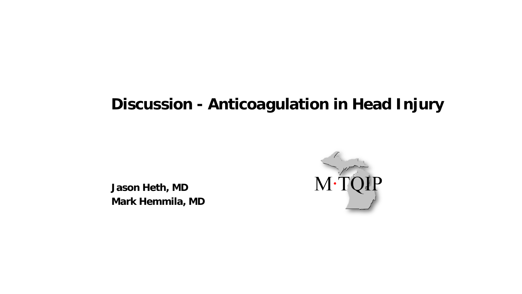#### **Discussion - Anticoagulation in Head Injury**

**Jason Heth, MD Mark Hemmila, MD**

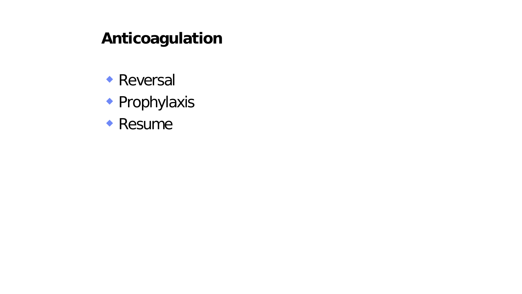#### **Anticoagulation**

- **Reversal**
- **Prophylaxis**
- **Resume**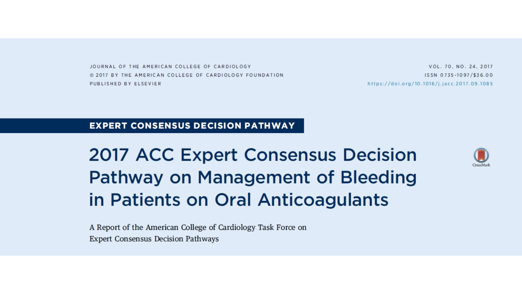JOURNAL OF THE AMERICAN COLLEGE OF CARDIOLOGY @ 2017 BY THE AMERICAN COLLEGE OF CARDIOLOGY FOUNDATION PUBLISHED BY ELSEVIER

VOL. 70, NO. 24, 2017 ISSN 0735-1097/\$36.00 https://doi.org/10.1016/j.jacc.2017.09.1085

#### **EXPERT CONSENSUS DECISION PATHWAY**

**2017 ACC Expert Consensus Decision Pathway on Management of Bleeding** in Patients on Oral Anticoagulants



A Report of the American College of Cardiology Task Force on **Expert Consensus Decision Pathways**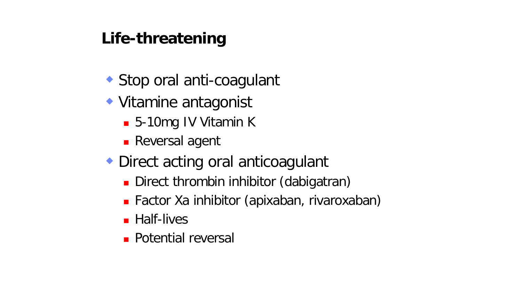## **Life-threatening**

- ◆ Stop oral anti-coagulant
- Vitamine antagonist
	- 5-10mg IV Vitamin K
	- **Reversal agent**
- ◆ Direct acting oral anticoagulant
	- Direct thrombin inhibitor (dabigatran)
	- Factor Xa inhibitor (apixaban, rivaroxaban)
	- **Half-lives**
	- **Potential reversal**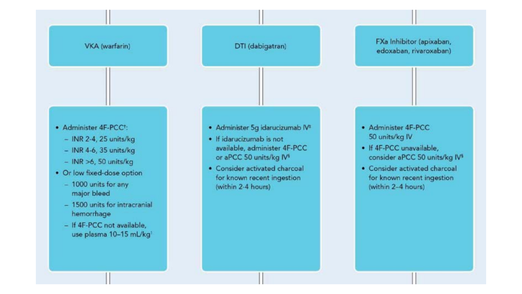#### VKA (warfarin)

#### DTI (dabigatran)

- Administer 4F-PCC<sup>+</sup>:
	- $-$  INR 2-4, 25 units/kg
	- $-$  INR 4-6, 35 units/kg
	- $-$  INR  $>6$ , 50 units/kg
- Or low fixed-dose option
	- 1000 units for any major bleed
	- 1500 units for intracranial hemorrhage
	- If 4F-PCC not available, use plasma 10-15 mL/kg1
- · Administer 5g idarucizumab IV\*
- · If idarucizumab is not available, administer 4F-PCC or aPCC 50 units/kg IV<sup>5</sup>
- Consider activated charcoal for known recent ingestion (within 2-4 hours)
- Administer 4F-PCC 50 units/kg IV
- If 4F-PCC unavailable. consider aPCC 50 units/kg IV<sup>5</sup>

FXa Inhibitor (apixaban,

edoxaban, rivaroxaban)

• Consider activated charcoal for known recent ingestion (within 2-4 hours)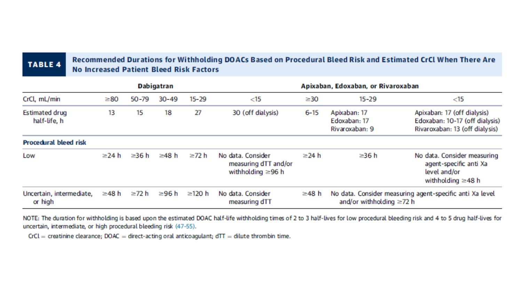#### **TABLE 4**

Recommended Durations for Withholding DOACs Based on Procedural Bleed Risk and Estimated CrCl When There Are **No Increased Patient Bleed Risk Factors** 

| <b>Dabigatran</b>                     |       |             |           | Apixaban, Edoxaban, or Rivaroxaban |                                                                      |             |                                                |                                                                                                   |
|---------------------------------------|-------|-------------|-----------|------------------------------------|----------------------------------------------------------------------|-------------|------------------------------------------------|---------------------------------------------------------------------------------------------------|
| CrCl, mL/min                          | ≥80   | $50 - 79$   | $30 - 49$ | $15 - 29$                          | $<$ 15                                                               | $\geq$ 30   | $15 - 29$                                      | $<$ 15                                                                                            |
| <b>Estimated drug</b><br>half-life, h | 13    | 15          | 18        | 27                                 | 30 (off dialysis)                                                    | $6 - 15$    | Apixaban: 17<br>Edoxaban: 17<br>Rivaroxaban: 9 | Apixaban: 17 (off dialysis)<br>Edoxaban: 10-17 (off dialysis)<br>Rivaroxaban: 13 (off dialysis)   |
| <b>Procedural bleed risk</b>          |       |             |           |                                    |                                                                      |             |                                                |                                                                                                   |
| Low                                   | ≥24 h | $\geq$ 36 h | ≥48 h     | ≥72 h                              | No data, Consider<br>measuring dTT and/or<br>withholding $\geq$ 96 h | $\geq$ 24 h | ≥36 h                                          | No data. Consider measuring<br>agent-specific anti Xa<br>level and/or<br>with holding $\geq$ 48 h |
| Uncertain, intermediate,<br>or high   | ≥48 h | ≥72 h       | ≥96 h     | ≥120 h                             | No data. Consider<br>measuring dTT                                   | ≥48 h       | and/or withholding $\geq 72$ h                 | No data. Consider measuring agent-specific anti Xa level                                          |

NOTE: The duration for withholding is based upon the estimated DOAC half-life withholding times of 2 to 3 half-lives for low procedural bleeding risk and 4 to 5 drug half-lives for uncertain, intermediate, or high procedural bleeding risk (47-55).

 $CrCl$  = creatinine clearance; DOAC = direct-acting oral anticoagulant;  $dTT$  = dilute thrombin time.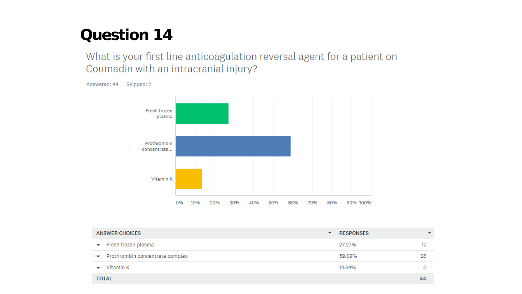What is your first line anticoagulation reversal agent for a patient on Coumadin with an intracranial injury?



| <b>ANSWER CHOICES</b>                | <b>RESPONSES</b> |    |
|--------------------------------------|------------------|----|
| Fresh frozen plasma<br>▼             | 27.27%           | 12 |
| Prothrombin concentrate complex<br>▼ | 59.09%           | 26 |
| Vitamin K                            | 13.64%           |    |
| <b>TOTAL</b>                         |                  | 44 |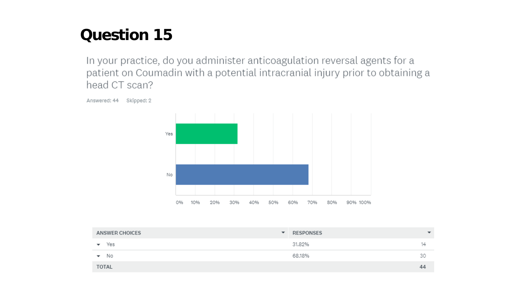In your practice, do you administer anticoagulation reversal agents for a patient on Coumadin with a potential intracranial injury prior to obtaining a head CT scan?



**ANSWER CHOICES** ▼ RESPONSES 31.82%  $\blacktriangledown$  Yes  $14$  $\blacktriangledown$  No 68.18% 30 **TOTAL** 44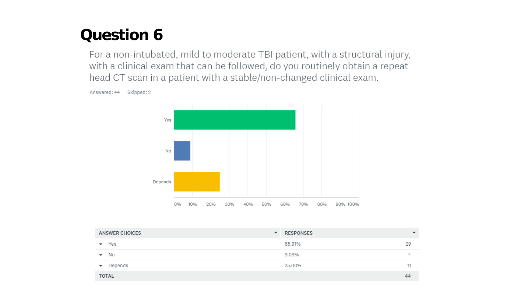For a non-intubated, mild to moderate TBI patient, with a structural injury, with a clinical exam that can be followed, do you routinely obtain a repeat head CT scan in a patient with a stable/non-changed clinical exam.

Answered: 44 Skipped: 2



| ANSWER CHOICES                      | RESPONSES<br>$\overline{\phantom{a}}$ | $\overline{\phantom{a}}$ |
|-------------------------------------|---------------------------------------|--------------------------|
| Yes<br>$\overline{\phantom{a}}$     | 65.91%                                | 29                       |
| $\blacktriangleright$ No            | 9.09%                                 | ∸                        |
| Depends<br>$\overline{\phantom{a}}$ | 25.00%                                |                          |
| <b>TOTAL</b>                        |                                       | 44                       |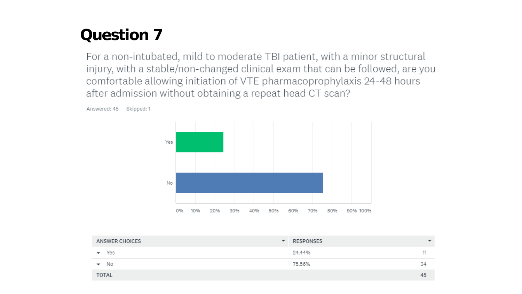For a non-intubated, mild to moderate TBI patient, with a minor structural injury, with a stable/non-changed clinical exam that can be followed, are you comfortable allowing initiation of VTE pharmacoprophylaxis 24-48 hours after admission without obtaining a repeat head CT scan?



Answered: 45 Skipped: 1

| ANSWER CHOICES                 | RESPONSES<br>▼ | $\overline{\phantom{a}}$ |
|--------------------------------|----------------|--------------------------|
| Yes                            | 24.44%         | 11                       |
| No<br>$\overline{\phantom{a}}$ | 75.56%         | 34                       |
| <b>TOTAL</b>                   |                | 45                       |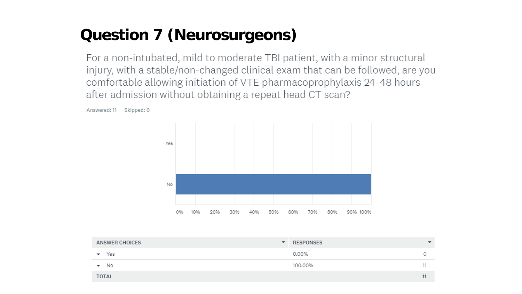# **Question 7 (Neurosurgeons)**

For a non-intubated, mild to moderate TBI patient, with a minor structural injury, with a stable/non-changed clinical exam that can be followed, are you comfortable allowing initiation of VTE pharmacoprophylaxis 24-48 hours after admission without obtaining a repeat head CT scan?

Answered: 11 Skipped: 0



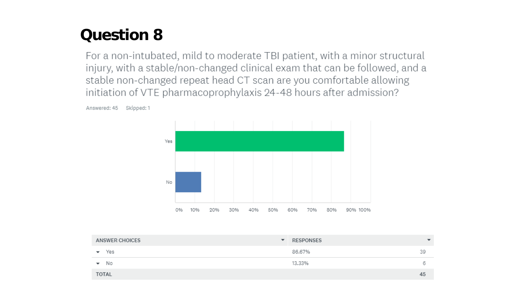For a non-intubated, mild to moderate TBI patient, with a minor structural injury, with a stable/non-changed clinical exam that can be followed, and a stable non-changed repeat head CT scan are you comfortable allowing initiation of VTE pharmacoprophylaxis 24-48 hours after admission?

> Yes No 0% 10% 20% 30% 40% 50% 60% 70% 80% 90% 100%

Answered: 45 Skipped: 1

| ANSWER CHOICES<br>$\overline{\phantom{a}}$ | RESPONSES | $\overline{\phantom{a}}$ |
|--------------------------------------------|-----------|--------------------------|
| Yes<br>$\checkmark$                        | 86.67%    | 39                       |
| $\blacktriangleright$ No                   | 13.33%    | m                        |
| <b>TOTAL</b>                               |           | 45                       |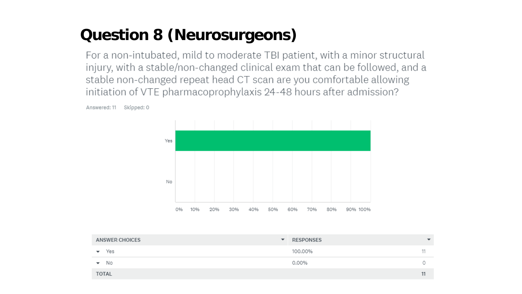## **Question 8 (Neurosurgeons)**

For a non-intubated, mild to moderate TBI patient, with a minor structural injury, with a stable/non-changed clinical exam that can be followed, and a stable non-changed repeat head CT scan are you comfortable allowing initiation of VTE pharmacoprophylaxis 24-48 hours after admission?



Answered: 11 Skipped: 0

| ANSWER CHOICES           | RESPONSES<br>$\overline{\phantom{a}}$ | $\overline{\phantom{a}}$ |
|--------------------------|---------------------------------------|--------------------------|
| Yes                      | 100.00%                               |                          |
| $\blacktriangleright$ No | 0.00%                                 |                          |
| <b>TOTAL</b>             |                                       | 11                       |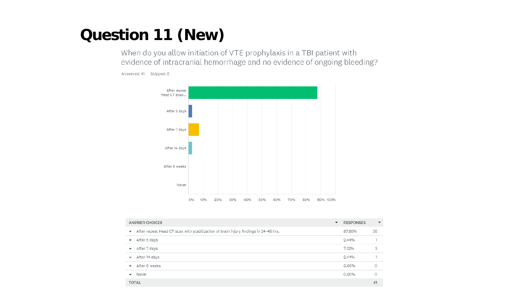#### **Question 11 (New)**

When do you allow initiation of VTE prophylaxis in a TBI patient with evidence of intracranial hemorrhage and no evidence of ongoing bleeding?





| ANSWER CHOICES                                                                                              | ▼ | RESPONSES | $\overline{\phantom{a}}$ |
|-------------------------------------------------------------------------------------------------------------|---|-----------|--------------------------|
| After repeat Head CT scan with stabilization of brain injury findings in 24-48 hrs.<br>$\blacktriangledown$ |   | 87.80%    | 36                       |
| After 5 days<br>$\overline{\phantom{a}}$                                                                    |   | 2.44%     |                          |
| After 7 days<br>▼                                                                                           |   | 7.32%     | 3                        |
| After 14 days<br>$\overline{\phantom{a}}$                                                                   |   | 2.44%     |                          |
| After 6 weeks<br>$\overline{\phantom{a}}$                                                                   |   | 0.00%     | 0                        |
| Never<br>▼                                                                                                  |   | 0.00%     | 0                        |
| <b>TOTAL</b>                                                                                                |   |           | 41                       |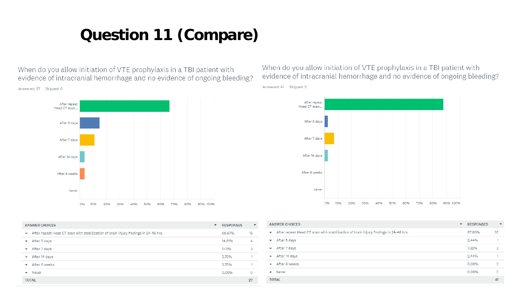#### **Question 11 (Compare)**

When do you allow initiation of VTE prophylaxis in a TBI patient with evidence of intracranial hemorrhage and no evidence of ongoing bleeding?



When do you allow initiation of VTE prophylaxis in a TBI patient with evidence of intracranial hemorrhage and no evidence of ongoing bleeding? Answered: 41 Skipped: 5

![](_page_14_Figure_4.jpeg)

| ANSWER CHOICES                                                                                                  | $\overline{\phantom{a}}$ | <b>RESPONSES</b> | $\blacktriangledown$ |
|-----------------------------------------------------------------------------------------------------------------|--------------------------|------------------|----------------------|
| After repeat Head CT scan with stabilization of brain injury findings in 24-48 hrs.<br>$\overline{\phantom{a}}$ |                          | 66.67%           | 18                   |
| After 5 days<br>$\overline{\phantom{a}}$                                                                        |                          | 14,81%           | 4                    |
| After 7 days<br>$\overline{\phantom{a}}$                                                                        |                          | 11.11%           | 3                    |
| After 14 days<br>$\overline{\phantom{a}}$                                                                       |                          | 3.70%            |                      |
| After 6 weeks<br>$\overline{\phantom{a}}$                                                                       |                          | 3.70%            |                      |
| Never<br>$\overline{\phantom{a}}$                                                                               |                          | 0.00%            | 0                    |
| <b>TOTAL</b>                                                                                                    |                          |                  | 27                   |

|                          | <b>ANSWER CHOICES</b>                                                               | $\overline{\phantom{a}}$ | <b>RESPONSES</b> | $\overline{\phantom{a}}$ |
|--------------------------|-------------------------------------------------------------------------------------|--------------------------|------------------|--------------------------|
| $\overline{\phantom{a}}$ | After repeat Head CT scan with stabilization of brain injury findings in 24-48 hrs. |                          | 87.80%           | 36                       |
| $\overline{\phantom{a}}$ | After 5 days                                                                        |                          | 2.44%            |                          |
| $\overline{\phantom{a}}$ | After 7 days                                                                        |                          | 7.32%            | 3                        |
| $\overline{\phantom{a}}$ | After 14 days                                                                       |                          | 2.44%            |                          |
| $\overline{\phantom{a}}$ | After 6 weeks                                                                       |                          | 0.00%            | 0                        |
|                          | $\blacktriangleright$ Never                                                         |                          | 0.00%            | 0                        |
|                          | <b>TOTAL</b>                                                                        |                          |                  | 41                       |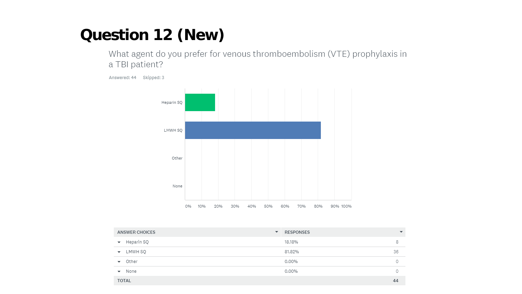#### **Question 12 (New)**

What agent do you prefer for venous thromboembolism (VTE) prophylaxis in a TBI patient?

Answered: 44 Skipped: 3

![](_page_15_Figure_3.jpeg)

| ANSWER CHOICES                         | <b>RESPONSES</b><br>▼ | $\overline{\phantom{a}}$ |
|----------------------------------------|-----------------------|--------------------------|
| Heparin SQ<br>$\overline{\phantom{a}}$ | 18.18%                | 8                        |
| LMWH SQ<br>$\overline{\phantom{a}}$    | 81.82%                | 36                       |
| Other<br>$\overline{\phantom{a}}$      | 0.00%                 |                          |
| None<br>$\overline{\phantom{a}}$       | 0.00%                 |                          |
| <b>TOTAL</b>                           |                       | 44                       |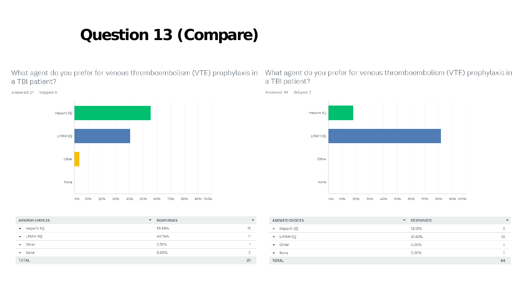## **Question 13 (Compare)**

What agent do you prefer for venous thromboembolism (VTE) prophylaxis in a TBI patient?

![](_page_16_Figure_2.jpeg)

Answered: 27 Skipped: 0

| ANSWER CHOICES                    | <b>RESPONSES</b><br>$\blacktriangledown$ | $\overline{\phantom{a}}$ |
|-----------------------------------|------------------------------------------|--------------------------|
| $\blacktriangleright$ Heparin SQ  | 55.56%                                   | 15                       |
| ▼ LMWH SQ                         | 40.74%                                   | 11                       |
| Other<br>$\overline{\phantom{a}}$ | 3.70%                                    |                          |
| $\blacktriangleright$ None        | 0.00%                                    | 0                        |
| <b>TOTAL</b>                      |                                          | 27                       |

What agent do you prefer for venous thromboembolism (VTE) prophylaxis in a TBI patient?

![](_page_16_Figure_6.jpeg)

| ANSWER CHOICES                   | <b>RESPONSES</b><br>$\blacktriangledown$ | $\overline{\phantom{a}}$ |
|----------------------------------|------------------------------------------|--------------------------|
| $\blacktriangleright$ Heparin SQ | 18.18%                                   | 8                        |
| $\bullet$ LMWH SQ                | 81.82%                                   | 36                       |
| $\bullet$ Other                  | 0.00%                                    | 0                        |
| $\blacktriangleright$ None       | 0.00%                                    | $\circ$                  |
| <b>TOTAL</b>                     |                                          | 44                       |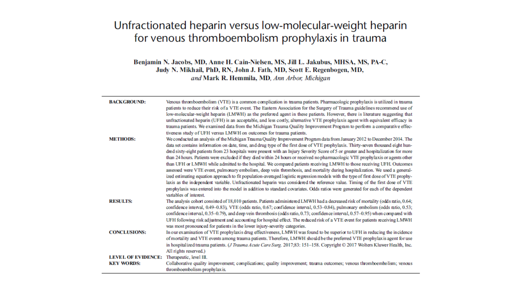#### Unfractionated heparin versus low-molecular-weight heparin for venous thromboembolism prophylaxis in trauma

Benjamin N. Jacobs, MD, Anne H. Cain-Nielsen, MS, Jill L. Jakubus, MHSA, MS, PA-C, Judy N. Mikhail, PhD, RN, John J. Fath, MD, Scott E. Regenbogen, MD, and Mark R. Hemmila, MD, Ann Arbor, Michigan

| <b>BACKGROUND:</b>                             | Venous thromboembolism (VTE) is a common complication in trauma patients. Pharmacologic prophylaxis is utilized in trauma<br>patients to reduce their risk of a VTE event. The Eastern Association for the Surgery of Trauma guidelines recommend use of<br>low-molecular-weight heparin (LMWH) as the preferred agent in these patients. However, there is literature suggesting that<br>unfractionated heparin (UFH) is an acceptable, and less costly, alternative VTE prophylaxis agent with equivalent efficacy in<br>trauma patients. We examined data from the Michigan Trauma Quality Improvement Program to perform a comparative effec-<br>tiveness study of UFH versus LMWH on outcomes for trauma patients.                                                                                                                                                                                                                                                                                                                                                                                                                                                                                                             |
|------------------------------------------------|-------------------------------------------------------------------------------------------------------------------------------------------------------------------------------------------------------------------------------------------------------------------------------------------------------------------------------------------------------------------------------------------------------------------------------------------------------------------------------------------------------------------------------------------------------------------------------------------------------------------------------------------------------------------------------------------------------------------------------------------------------------------------------------------------------------------------------------------------------------------------------------------------------------------------------------------------------------------------------------------------------------------------------------------------------------------------------------------------------------------------------------------------------------------------------------------------------------------------------------|
| <b>METHODS:</b>                                | We conducted an analysis of the Michigan Trauma Quality Improvement Program data from January 2012 to December 2014. The<br>data set contains information on date, time, and drug type of the first dose of VTE prophylaxis. Thirty-seven thousand eight hun-<br>dred sixty-eight patients from 23 hospitals were present with an Injury Severity Score of 5 or greater and hospitalization for more<br>than 24 hours. Patients were excluded if they died within 24 hours or received no pharmacologic VTE prophylaxis or agents other<br>than UFH or LMWH while admitted to the hospital. We compared patients receiving LMWH to those receiving UFH. Outcomes<br>assessed were VTE event, pulmonary embolism, deep vein thrombosis, and mortality during hospitalization. We used a general-<br>ized estimating equation approach to fit population-averaged logistic regression models with the type of first dose of VTE prophy-<br>laxis as the independent variable. Unfractionated heparin was considered the reference value. Timing of the first dose of VTE<br>prophylaxis was entered into the model in addition to standard covariates. Odds ratios were generated for each of the dependent<br>variables of interest. |
| <b>RESULTS:</b>                                | The analysis cohort consisted of 18,010 patients. Patients administered LMWH had a decreased risk of mortality (odds ratio, 0.64;<br>confidence interval, 0.49-0.83), VTE (odds ratio, 0.67; confidence interval, 0.53-0.84), pulmonary embolism (odds ratio, 0.53;<br>confidence interval, 0.35-0.79), and deep vein thrombosis (odds ratio, 0.73; confidence interval, 0.57-0.95) when compared with<br>UFH following risk adjustment and accounting for hospital effect. The reduced risk of a VTE event for patients receiving LMWH<br>was most pronounced for patients in the lower injury-severity categories.                                                                                                                                                                                                                                                                                                                                                                                                                                                                                                                                                                                                                |
| <b>CONCLUSIONS:</b>                            | In our examination of VTE prophylaxis drug effectiveness, LMWH was found to be superior to UFH in reducing the incidence<br>of mortality and VTE events among trauma patients. Therefore, LMWH should be the preferred VTE prophylax is agent for use<br>in hospitalized trauma patients. (J Trauma Acute Care Surg. 2017;83: 151-158. Copyright © 2017 Wolters Kluwer Health, Inc.<br>All rights reserved.)                                                                                                                                                                                                                                                                                                                                                                                                                                                                                                                                                                                                                                                                                                                                                                                                                        |
| <b>LEVEL OF EVIDENCE:</b><br><b>KEY WORDS:</b> | Therapeutic, level III.<br>Collaborative quality improvement; complications; quality improvement; trauma outcomes; venous thromboembolism; venous<br>thromboembolism prophylaxis.                                                                                                                                                                                                                                                                                                                                                                                                                                                                                                                                                                                                                                                                                                                                                                                                                                                                                                                                                                                                                                                   |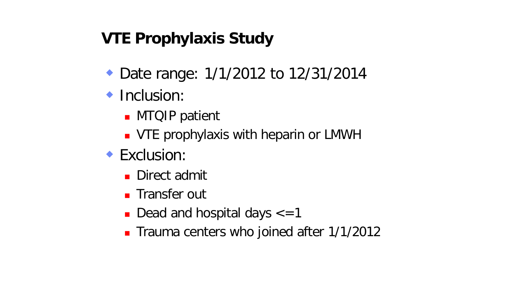## **VTE Prophylaxis Study**

- ◆ Date range: 1/1/2012 to 12/31/2014
- **Inclusion:** 
	- **MTQIP** patient
	- **VTE prophylaxis with heparin or LMWH**
- **Exclusion:** 
	- **Direct admit**
	- **Transfer out**
	- Dead and hospital days  $\epsilon$ =1
	- **Trauma centers who joined after 1/1/2012**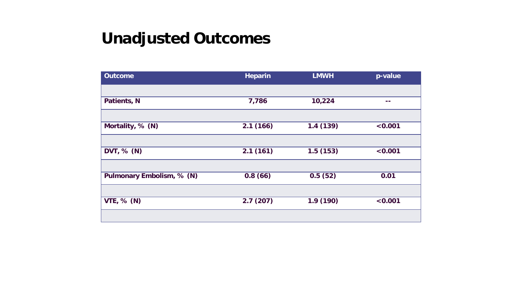## **Unadjusted Outcomes**

| <b>Outcome</b>            | <b>Heparin</b> | <b>LMWH</b> | p-value |
|---------------------------|----------------|-------------|---------|
|                           |                |             |         |
| Patients, N               | 7,786          | 10,224      | --      |
|                           |                |             |         |
| Mortality, % (N)          | 2.1(166)       | 1.4(139)    | < 0.001 |
|                           |                |             |         |
| DVT, $% (N)$              | 2.1(161)       | 1.5(153)    | < 0.001 |
|                           |                |             |         |
| Pulmonary Embolism, % (N) | 0.8(66)        | 0.5(52)     | 0.01    |
|                           |                |             |         |
| <b>VTE, % (N)</b>         | 2.7(207)       | 1.9(190)    | < 0.001 |
|                           |                |             |         |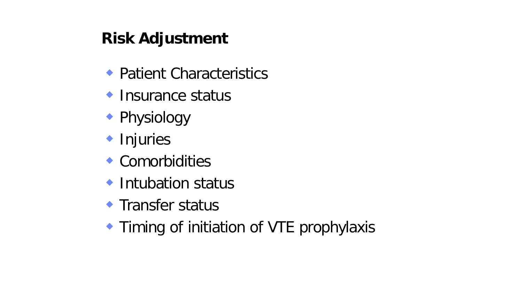# **Risk Adjustment**

- ◆ Patient Characteristics
- ◆ Insurance status
- ◆ Physiology
- **Injuries**
- Comorbidities
- ◆ Intubation status
- **Transfer status**
- **Timing of initiation of VTE prophylaxis**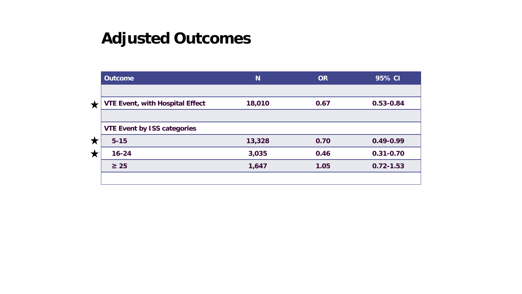|            | <b>Outcome</b>                         | N <sub>1</sub> | <b>OR</b> | 95% CI        |
|------------|----------------------------------------|----------------|-----------|---------------|
|            |                                        |                |           |               |
| $\bigstar$ | <b>VTE Event, with Hospital Effect</b> | 18,010         | 0.67      | 0.53-0.84     |
|            |                                        |                |           |               |
|            | <b>VTE Event by ISS categories</b>     |                |           |               |
| X          | $5 - 15$                               | 13,328         | 0.70      | $0.49 - 0.99$ |
| Х          | $16 - 24$                              | 3,035          | 0.46      | $0.31 - 0.70$ |
|            | $\geq 25$                              | 1,647          | 1.05      | $0.72 - 1.53$ |
|            |                                        |                |           |               |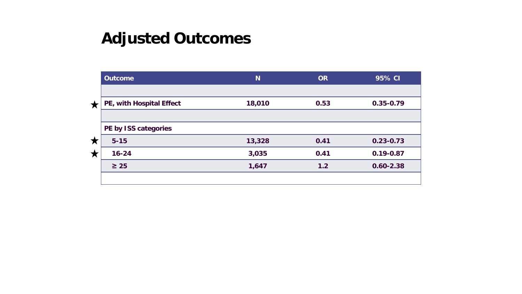|   | <b>Outcome</b>           | N <sub>1</sub> | <b>OR</b> | 95% CI        |
|---|--------------------------|----------------|-----------|---------------|
|   |                          |                |           |               |
| ★ | PE, with Hospital Effect | 18,010         | 0.53      | $0.35 - 0.79$ |
|   |                          |                |           |               |
|   | PE by ISS categories     |                |           |               |
| X | $5 - 15$                 | 13,328         | 0.41      | $0.23 - 0.73$ |
| Х | $16 - 24$                | 3,035          | 0.41      | $0.19 - 0.87$ |
|   | $\geq 25$                | 1,647          | 1.2       | $0.60 - 2.38$ |
|   |                          |                |           |               |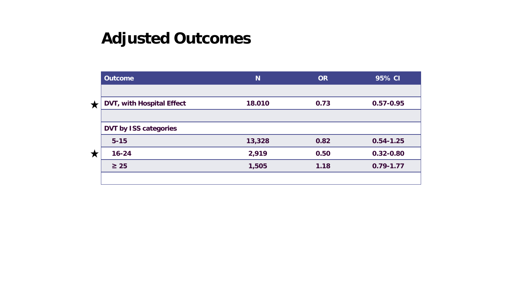|   | <b>Outcome</b>               | N <sub>1</sub> | <b>OR</b> | 95% CI        |
|---|------------------------------|----------------|-----------|---------------|
|   |                              |                |           |               |
| ★ | DVT, with Hospital Effect    | 18.010         | 0.73      | $0.57 - 0.95$ |
|   |                              |                |           |               |
|   | <b>DVT by ISS categories</b> |                |           |               |
|   | $5 - 15$                     | 13,328         | 0.82      | $0.54 - 1.25$ |
| X | $16 - 24$                    | 2,919          | 0.50      | $0.32 - 0.80$ |
|   | $\geq 25$                    | 1,505          | 1.18      | $0.79 - 1.77$ |
|   |                              |                |           |               |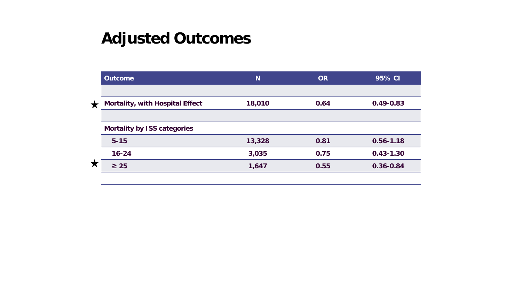|   | <b>Outcome</b>                         | <b>N</b> | <b>OR</b> | 95% CI        |
|---|----------------------------------------|----------|-----------|---------------|
|   |                                        |          |           |               |
| ★ | <b>Mortality, with Hospital Effect</b> | 18,010   | 0.64      | $0.49 - 0.83$ |
|   |                                        |          |           |               |
|   | <b>Mortality by ISS categories</b>     |          |           |               |
| X | $5 - 15$                               | 13,328   | 0.81      | $0.56 - 1.18$ |
|   | $16 - 24$                              | 3,035    | 0.75      | $0.43 - 1.30$ |
|   | $\geq 25$                              | 1,647    | 0.55      | $0.36 - 0.84$ |
|   |                                        |          |           |               |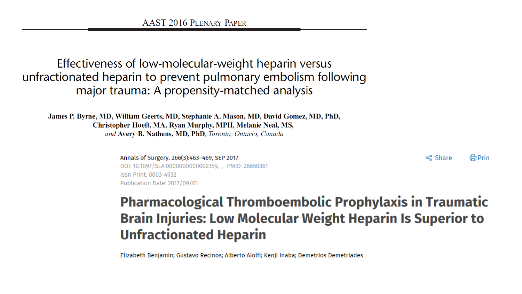#### Effectiveness of low-molecular-weight heparin versus unfractionated heparin to prevent pulmonary embolism following major trauma: A propensity-matched analysis

James P. Byrne, MD, William Geerts, MD, Stephanie A. Mason, MD, David Gomez, MD, PhD, Christopher Hoeft, MA, Ryan Murphy, MPH, Melanie Neal, MS, and Avery B. Nathens, MD, PhD, Toronto, Ontario, Canada

Annals of Surgery. 266(3):463-469, SEP 2017

<< Share **品Prin** 

DOI: 10.1097/SLA.0000000000002359, , PMID: 28650361 Issn Print: 0003-4932 Publication Date: 2017/09/01

#### **Pharmacological Thromboembolic Prophylaxis in Traumatic Brain Injuries: Low Molecular Weight Heparin Is Superior to Unfractionated Heparin**

Elizabeth Benjamin; Gustavo Recinos; Alberto Aiolfi; Kenji Inaba; Demetrios Demetriades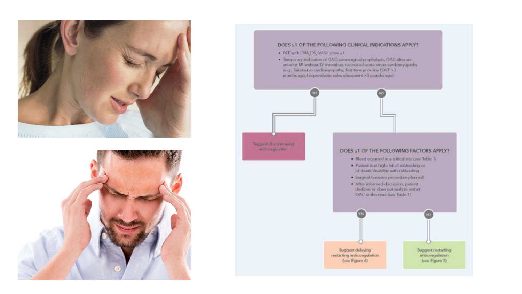![](_page_26_Picture_0.jpeg)

![](_page_26_Picture_1.jpeg)

#### DOES ≥1 OF THE FOLLOWING CLINICAL INDICATIONS APPLY?

· PAF with CHA.DS, VASc score et

Suggest discontinuing write coagulation

· Temporary indication of OAC: postsurgical prophylaxis, OAC after an arterior MI without IV thrombus, recovered acute stress cardiomyopathy (e.g., Takotsubo cardiomyopathy, first-time provokad DVT >3 months ago, bioprosthetic valve placement >3 months ago)

#### DOES ≥1 OF THE FOLLOWING FACTORS APPLY?

- · Bleed occurred in a critical site (see Table 1)
- · Patient is at high risk of robleeding or of death/disability with rebleeding
- · Surgical/imaseve procedure planned
- · After informed discussion, patient dedines or does not wish to restart OAC at this time (see Table 7)

Suggest delaying restarting anticoagulation (see Figure 6)

Suggest restarting anticoagulation (see Figure 5)